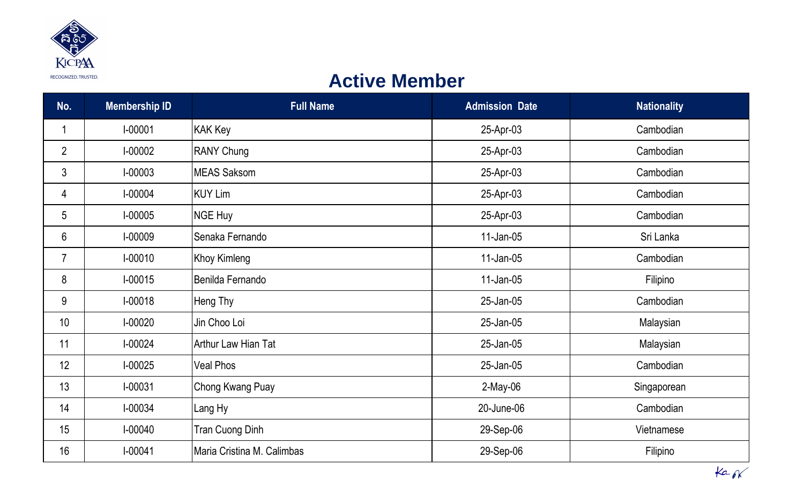

## **Active Member**

| No.            | <b>Membership ID</b> | <b>Full Name</b>           | <b>Admission Date</b> | <b>Nationality</b> |
|----------------|----------------------|----------------------------|-----------------------|--------------------|
|                | $I - 00001$          | <b>KAK Key</b>             | 25-Apr-03             | Cambodian          |
| $\overline{2}$ | I-00002              | <b>RANY Chung</b>          | 25-Apr-03             | Cambodian          |
| 3              | I-00003              | <b>MEAS Saksom</b>         | 25-Apr-03             | Cambodian          |
| 4              | I-00004              | KUY Lim                    | 25-Apr-03             | Cambodian          |
| 5              | $I-00005$            | NGE Huy                    | 25-Apr-03             | Cambodian          |
| 6              | I-00009              | Senaka Fernando            | $11$ -Jan-05          | Sri Lanka          |
| $\overline{7}$ | $I-00010$            | <b>Khoy Kimleng</b>        | $11$ -Jan-05          | Cambodian          |
| 8              | $I-00015$            | Benilda Fernando           | $11$ -Jan-05          | Filipino           |
| 9              | $I-00018$            | Heng Thy                   | 25-Jan-05             | Cambodian          |
| 10             | $I-00020$            | Jin Choo Loi               | 25-Jan-05             | Malaysian          |
| 11             | $I-00024$            | Arthur Law Hian Tat        | 25-Jan-05             | Malaysian          |
| 12             | $I-00025$            | <b>Veal Phos</b>           | 25-Jan-05             | Cambodian          |
| 13             | $I - 00031$          | Chong Kwang Puay           | $2$ -May-06           | Singaporean        |
| 14             | I-00034              | Lang Hy                    | 20-June-06            | Cambodian          |
| 15             | $I-00040$            | <b>Tran Cuong Dinh</b>     | 29-Sep-06             | Vietnamese         |
| 16             | $I-00041$            | Maria Cristina M. Calimbas | 29-Sep-06             | Filipino           |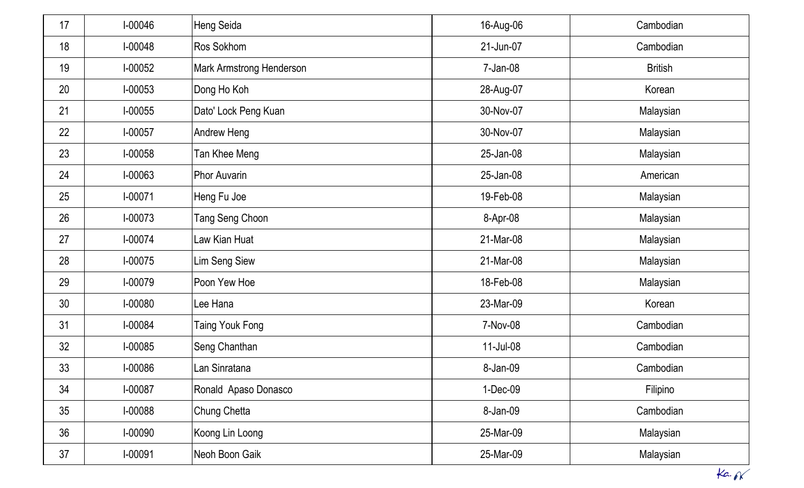| 17 | I-00046     | <b>Heng Seida</b>               | 16-Aug-06 | Cambodian      |
|----|-------------|---------------------------------|-----------|----------------|
| 18 | $I-00048$   | Ros Sokhom                      | 21-Jun-07 | Cambodian      |
| 19 | $I-00052$   | <b>Mark Armstrong Henderson</b> | 7-Jan-08  | <b>British</b> |
| 20 | $I-00053$   | Dong Ho Koh                     | 28-Aug-07 | Korean         |
| 21 | $I-00055$   | Dato' Lock Peng Kuan            | 30-Nov-07 | Malaysian      |
| 22 | I-00057     | Andrew Heng                     | 30-Nov-07 | Malaysian      |
| 23 | $I-00058$   | Tan Khee Meng                   | 25-Jan-08 | Malaysian      |
| 24 | I-00063     | <b>Phor Auvarin</b>             | 25-Jan-08 | American       |
| 25 | $I - 00071$ | Heng Fu Joe                     | 19-Feb-08 | Malaysian      |
| 26 | $I-00073$   | Tang Seng Choon                 | 8-Apr-08  | Malaysian      |
| 27 | $I-00074$   | Law Kian Huat                   | 21-Mar-08 | Malaysian      |
| 28 | I-00075     | <b>Lim Seng Siew</b>            | 21-Mar-08 | Malaysian      |
| 29 | I-00079     | Poon Yew Hoe                    | 18-Feb-08 | Malaysian      |
| 30 | I-00080     | Lee Hana                        | 23-Mar-09 | Korean         |
| 31 | I-00084     | <b>Taing Youk Fong</b>          | 7-Nov-08  | Cambodian      |
| 32 | I-00085     | Seng Chanthan                   | 11-Jul-08 | Cambodian      |
| 33 | I-00086     | <sub>-</sub> an Sinratana       | 8-Jan-09  | Cambodian      |
| 34 | I-00087     | Ronald Apaso Donasco            | 1-Dec-09  | Filipino       |
| 35 | I-00088     | <b>Chung Chetta</b>             | 8-Jan-09  | Cambodian      |
| 36 | I-00090     | Koong Lin Loong                 | 25-Mar-09 | Malaysian      |
| 37 | I-00091     | Neoh Boon Gaik                  | 25-Mar-09 | Malaysian      |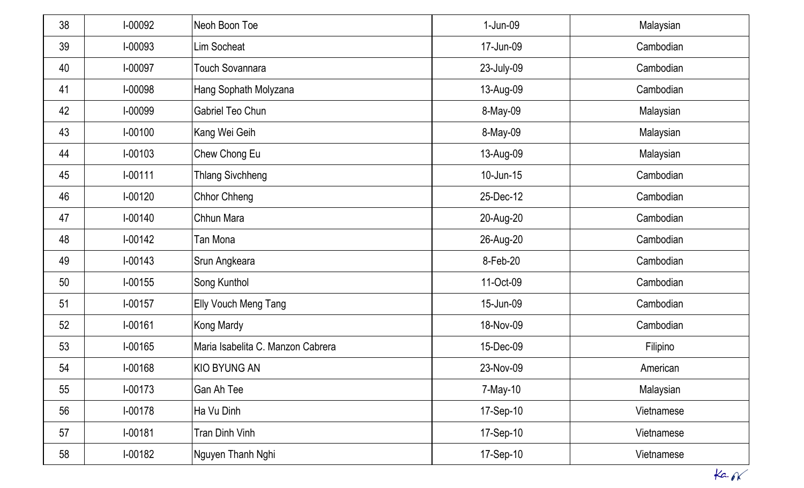| 38 | I-00092     | Neoh Boon Toe                     | 1-Jun-09     | Malaysian  |
|----|-------------|-----------------------------------|--------------|------------|
| 39 | I-00093     | <b>Lim Socheat</b>                | 17-Jun-09    | Cambodian  |
| 40 | I-00097     | <b>Touch Sovannara</b>            | 23-July-09   | Cambodian  |
| 41 | I-00098     | Hang Sophath Molyzana             | 13-Aug-09    | Cambodian  |
| 42 | I-00099     | <b>Gabriel Teo Chun</b>           | 8-May-09     | Malaysian  |
| 43 | $I - 00100$ | Kang Wei Geih                     | 8-May-09     | Malaysian  |
| 44 | $I-00103$   | Chew Chong Eu                     | 13-Aug-09    | Malaysian  |
| 45 | $I-00111$   | <b>Thlang Sivchheng</b>           | $10$ -Jun-15 | Cambodian  |
| 46 | $I-00120$   | <b>Chhor Chheng</b>               | 25-Dec-12    | Cambodian  |
| 47 | $I-00140$   | Chhun Mara                        | 20-Aug-20    | Cambodian  |
| 48 | $I-00142$   | Tan Mona                          | 26-Aug-20    | Cambodian  |
| 49 | $I - 00143$ | Srun Angkeara                     | 8-Feb-20     | Cambodian  |
| 50 | $I-00155$   | Song Kunthol                      | 11-Oct-09    | Cambodian  |
| 51 | $I-00157$   | <b>Elly Vouch Meng Tang</b>       | 15-Jun-09    | Cambodian  |
| 52 | I-00161     | <b>Kong Mardy</b>                 | 18-Nov-09    | Cambodian  |
| 53 | I-00165     | Maria Isabelita C. Manzon Cabrera | 15-Dec-09    | Filipino   |
| 54 | I-00168     | <b>KIO BYUNG AN</b>               | 23-Nov-09    | American   |
| 55 | $I-00173$   | Gan Ah Tee                        | 7-May-10     | Malaysian  |
| 56 | $I-00178$   | Ha Vu Dinh                        | 17-Sep-10    | Vietnamese |
| 57 | $I - 00181$ | Tran Dinh Vinh                    | 17-Sep-10    | Vietnamese |
| 58 | $I-00182$   | Nguyen Thanh Nghi                 | 17-Sep-10    | Vietnamese |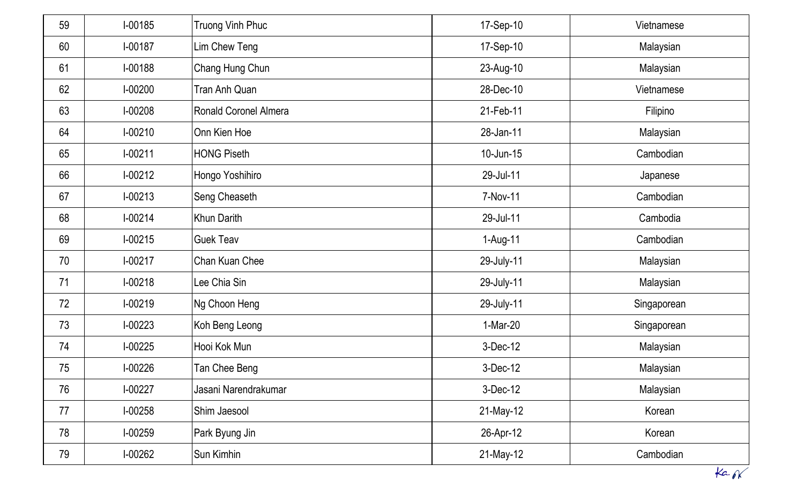| 59 | $I-00185$ | <b>Truong Vinh Phuc</b>      | 17-Sep-10       | Vietnamese  |
|----|-----------|------------------------------|-----------------|-------------|
| 60 | I-00187   | Lim Chew Teng                | 17-Sep-10       | Malaysian   |
| 61 | $I-00188$ | Chang Hung Chun              | 23-Aug-10       | Malaysian   |
| 62 | $I-00200$ | Tran Anh Quan                | 28-Dec-10       | Vietnamese  |
| 63 | $I-00208$ | <b>Ronald Coronel Almera</b> | 21-Feb-11       | Filipino    |
| 64 | $I-00210$ | Onn Kien Hoe                 | 28-Jan-11       | Malaysian   |
| 65 | $I-00211$ | <b>HONG Piseth</b>           | $10$ -Jun- $15$ | Cambodian   |
| 66 | $I-00212$ | Hongo Yoshihiro              | 29-Jul-11       | Japanese    |
| 67 | $I-00213$ | Seng Cheaseth                | 7-Nov-11        | Cambodian   |
| 68 | $I-00214$ | <b>Khun Darith</b>           | 29-Jul-11       | Cambodia    |
| 69 | $I-00215$ | <b>Guek Teav</b>             | 1-Aug-11        | Cambodian   |
| 70 | $I-00217$ | Chan Kuan Chee               | 29-July-11      | Malaysian   |
| 71 | $I-00218$ | Lee Chia Sin                 | 29-July-11      | Malaysian   |
| 72 | $I-00219$ | Ng Choon Heng                | 29-July-11      | Singaporean |
| 73 | $I-00223$ | Koh Beng Leong               | 1-Mar-20        | Singaporean |
| 74 | $I-00225$ | Hooi Kok Mun                 | 3-Dec-12        | Malaysian   |
| 75 | I-00226   | Tan Chee Beng                | 3-Dec-12        | Malaysian   |
| 76 | $I-00227$ | Jasani Narendrakumar         | 3-Dec-12        | Malaysian   |
| 77 | $I-00258$ | Shim Jaesool                 | 21-May-12       | Korean      |
| 78 | $I-00259$ | Park Byung Jin               | 26-Apr-12       | Korean      |
| 79 | $1-00262$ | Sun Kimhin                   | 21-May-12       | Cambodian   |
|    |           |                              |                 | ka          |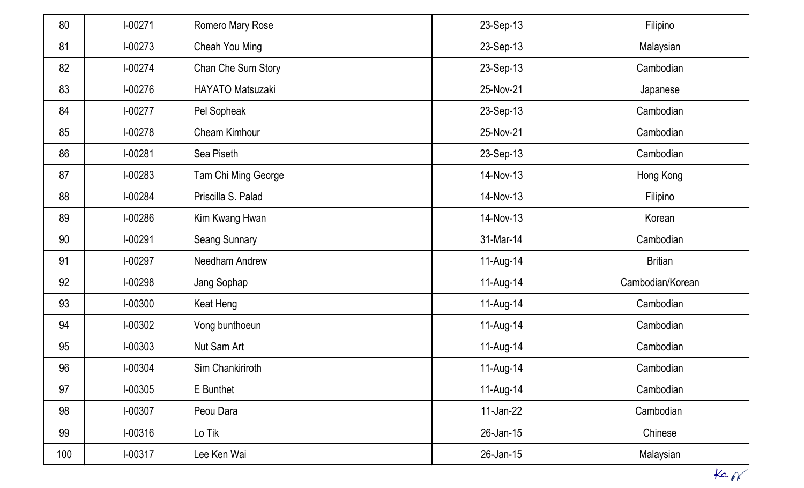| 80  | $I-00271$ | <b>Romero Mary Rose</b>    | 23-Sep-13    | Filipino         |
|-----|-----------|----------------------------|--------------|------------------|
| 81  | $I-00273$ | Cheah You Ming             | 23-Sep-13    | Malaysian        |
| 82  | $I-00274$ | Chan Che Sum Story         | 23-Sep-13    | Cambodian        |
| 83  | $I-00276$ | HAYATO Matsuzaki           | 25-Nov-21    | Japanese         |
| 84  | $I-00277$ | Pel Sopheak                | 23-Sep-13    | Cambodian        |
| 85  | $I-00278$ | <b>Cheam Kimhour</b>       | 25-Nov-21    | Cambodian        |
| 86  | $I-00281$ | Sea Piseth                 | 23-Sep-13    | Cambodian        |
| 87  | $I-00283$ | <b>Tam Chi Ming George</b> | 14-Nov-13    | Hong Kong        |
| 88  | I-00284   | Priscilla S. Palad         | 14-Nov-13    | Filipino         |
| 89  | I-00286   | Kim Kwang Hwan             | 14-Nov-13    | Korean           |
| 90  | $I-00291$ | <b>Seang Sunnary</b>       | 31-Mar-14    | Cambodian        |
| 91  | $I-00297$ | Needham Andrew             | 11-Aug-14    | <b>Britian</b>   |
| 92  | $I-00298$ | Jang Sophap                | 11-Aug-14    | Cambodian/Korean |
| 93  | I-00300   | Keat Heng                  | 11-Aug-14    | Cambodian        |
| 94  | $I-00302$ | Vong bunthoeun             | 11-Aug-14    | Cambodian        |
| 95  | I-00303   | Nut Sam Art                | 11-Aug-14    | Cambodian        |
| 96  | I-00304   | Sim Chankiriroth           | 11-Aug-14    | Cambodian        |
| 97  | I-00305   | E Bunthet                  | 11-Aug-14    | Cambodian        |
| 98  | $I-00307$ | Peou Dara                  | $11$ -Jan-22 | Cambodian        |
| 99  | $I-00316$ | Lo Tik                     | 26-Jan-15    | Chinese          |
| 100 | $I-00317$ | Lee Ken Wai                | 26-Jan-15    | Malaysian        |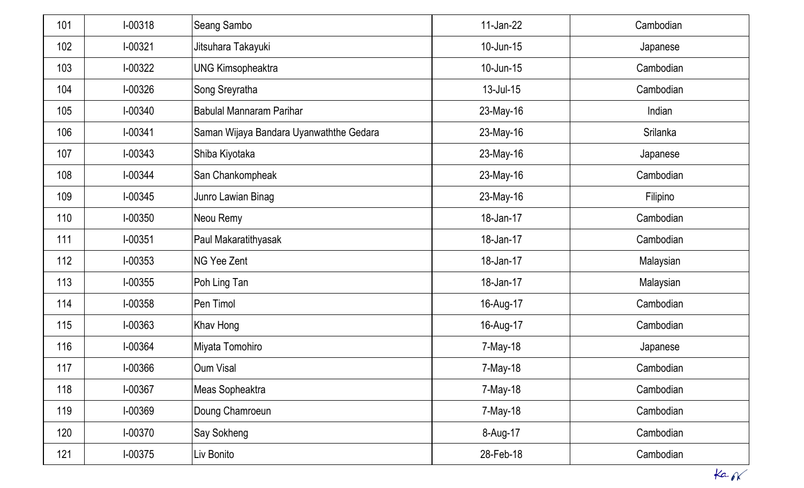| 101 | $I-00318$   | <b>Seang Sambo</b>                      | $11$ -Jan-22 | Cambodian |
|-----|-------------|-----------------------------------------|--------------|-----------|
| 102 | I-00321     | Jitsuhara Takayuki                      | $10$ -Jun-15 | Japanese  |
| 103 | $I-00322$   | <b>UNG Kimsopheaktra</b>                | $10$ -Jun-15 | Cambodian |
| 104 | $1 - 00326$ | Song Sreyratha                          | 13-Jul-15    | Cambodian |
| 105 | I-00340     | <b>Babulal Mannaram Parihar</b>         | 23-May-16    | Indian    |
| 106 | I-00341     | Saman Wijaya Bandara Uyanwaththe Gedara | 23-May-16    | Srilanka  |
| 107 | $I - 00343$ | Shiba Kiyotaka                          | 23-May-16    | Japanese  |
| 108 | $I - 00344$ | San Chankompheak                        | 23-May-16    | Cambodian |
| 109 | $I-00345$   | Junro Lawian Binag                      | 23-May-16    | Filipino  |
| 110 | I-00350     | Neou Remy                               | 18-Jan-17    | Cambodian |
| 111 | I-00351     | Paul Makaratithyasak                    | 18-Jan-17    | Cambodian |
| 112 | $I-00353$   | <b>NG Yee Zent</b>                      | 18-Jan-17    | Malaysian |
| 113 | $I-00355$   | Poh Ling Tan                            | 18-Jan-17    | Malaysian |
| 114 | $I-00358$   | Pen Timol                               | 16-Aug-17    | Cambodian |
| 115 | I-00363     | Khav Hong                               | 16-Aug-17    | Cambodian |
| 116 | I-00364     | Miyata Tomohiro                         | 7-May-18     | Japanese  |
| 117 | I-00366     | Oum Visal                               | 7-May-18     | Cambodian |
| 118 | I-00367     | Meas Sopheaktra                         | 7-May-18     | Cambodian |
| 119 | I-00369     | Doung Chamroeun                         | 7-May-18     | Cambodian |
| 120 | I-00370     | Say Sokheng                             | 8-Aug-17     | Cambodian |
| 121 | $1 - 00375$ | Liv Bonito                              | 28-Feb-18    | Cambodian |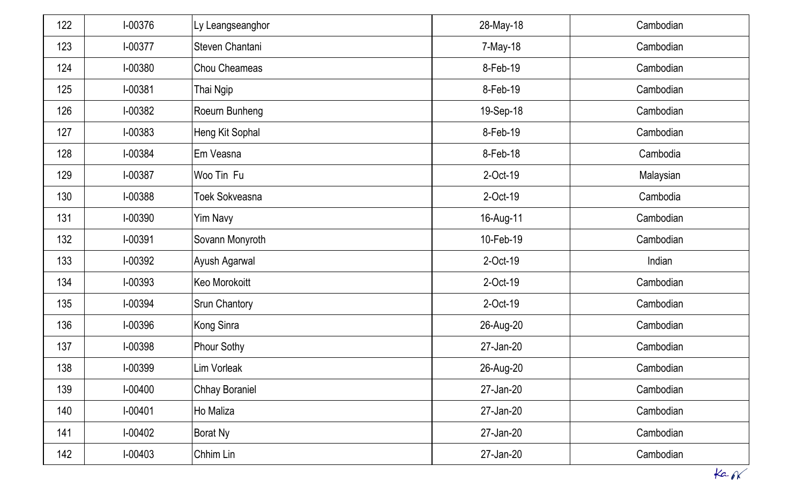| 122 | I-00376     | Ly Leangseanghor      | 28-May-18 | Cambodian |
|-----|-------------|-----------------------|-----------|-----------|
| 123 | I-00377     | Steven Chantani       | 7-May-18  | Cambodian |
| 124 | I-00380     | Chou Cheameas         | 8-Feb-19  | Cambodian |
| 125 | I-00381     | Thai Ngip             | 8-Feb-19  | Cambodian |
| 126 | $I-00382$   | Roeurn Bunheng        | 19-Sep-18 | Cambodian |
| 127 | $I-00383$   | Heng Kit Sophal       | 8-Feb-19  | Cambodian |
| 128 | I-00384     | Em Veasna             | 8-Feb-18  | Cambodia  |
| 129 | I-00387     | Woo Tin Fu            | 2-Oct-19  | Malaysian |
| 130 | I-00388     | <b>Toek Sokveasna</b> | 2-Oct-19  | Cambodia  |
| 131 | I-00390     | Yim Navy              | 16-Aug-11 | Cambodian |
| 132 | I-00391     | Sovann Monyroth       | 10-Feb-19 | Cambodian |
| 133 | I-00392     | Ayush Agarwal         | 2-Oct-19  | Indian    |
| 134 | I-00393     | Keo Morokoitt         | 2-Oct-19  | Cambodian |
| 135 | I-00394     | <b>Srun Chantory</b>  | 2-Oct-19  | Cambodian |
| 136 | I-00396     | Kong Sinra            | 26-Aug-20 | Cambodian |
| 137 | I-00398     | <b>Phour Sothy</b>    | 27-Jan-20 | Cambodian |
| 138 | I-00399     | Lim Vorleak           | 26-Aug-20 | Cambodian |
| 139 | I-00400     | <b>Chhay Boraniel</b> | 27-Jan-20 | Cambodian |
| 140 | $I - 00401$ | Ho Maliza             | 27-Jan-20 | Cambodian |
| 141 | $I-00402$   | <b>Borat Ny</b>       | 27-Jan-20 | Cambodian |
| 142 | $I-00403$   | Chhim Lin             | 27-Jan-20 | Cambodian |
|     |             |                       |           | ka.6K     |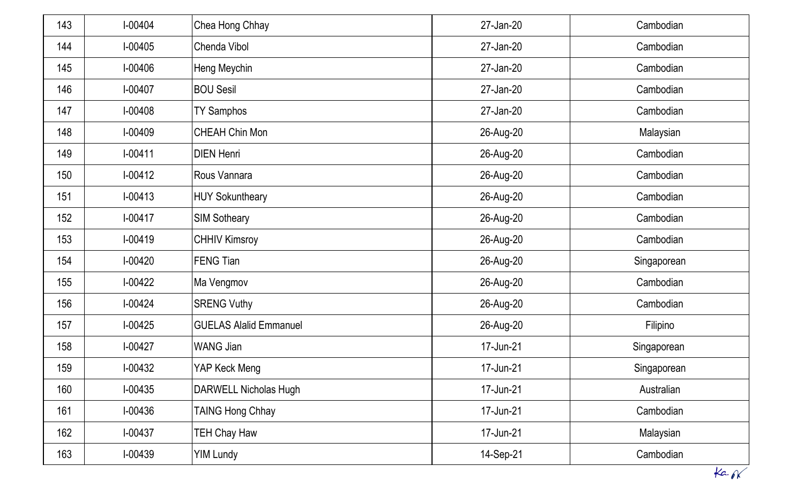|     |             |                               |           | ka          |
|-----|-------------|-------------------------------|-----------|-------------|
| 163 | $I-00439$   | <b>YIM Lundy</b>              | 14-Sep-21 | Cambodian   |
| 162 | $I-00437$   | <b>TEH Chay Haw</b>           | 17-Jun-21 | Malaysian   |
| 161 | $I-00436$   | <b>TAING Hong Chhay</b>       | 17-Jun-21 | Cambodian   |
| 160 | $I-00435$   | DARWELL Nicholas Hugh         | 17-Jun-21 | Australian  |
| 159 | I-00432     | YAP Keck Meng                 | 17-Jun-21 | Singaporean |
| 158 | $I-00427$   | <b>WANG Jian</b>              | 17-Jun-21 | Singaporean |
| 157 | $1-00425$   | <b>GUELAS Alalid Emmanuel</b> | 26-Aug-20 | Filipino    |
| 156 | $I-00424$   | <b>SRENG Vuthy</b>            | 26-Aug-20 | Cambodian   |
| 155 | $1-00422$   | Ma Vengmov                    | 26-Aug-20 | Cambodian   |
| 154 | $I-00420$   | <b>FENG Tian</b>              | 26-Aug-20 | Singaporean |
| 153 | $I-00419$   | <b>CHHIV Kimsroy</b>          | 26-Aug-20 | Cambodian   |
| 152 | $I - 00417$ | <b>SIM Sotheary</b>           | 26-Aug-20 | Cambodian   |
| 151 | $I-00413$   | <b>HUY Sokuntheary</b>        | 26-Aug-20 | Cambodian   |
| 150 | $I-00412$   | Rous Vannara                  | 26-Aug-20 | Cambodian   |
| 149 | $I - 00411$ | <b>DIEN Henri</b>             | 26-Aug-20 | Cambodian   |
| 148 | I-00409     | <b>CHEAH Chin Mon</b>         | 26-Aug-20 | Malaysian   |
| 147 | $I-00408$   | <b>TY Samphos</b>             | 27-Jan-20 | Cambodian   |
| 146 | I-00407     | <b>BOU Sesil</b>              | 27-Jan-20 | Cambodian   |
| 145 | I-00406     | Heng Meychin                  | 27-Jan-20 | Cambodian   |
| 144 | $I-00405$   | Chenda Vibol                  | 27-Jan-20 | Cambodian   |
| 143 | I-00404     | Chea Hong Chhay               | 27-Jan-20 | Cambodian   |